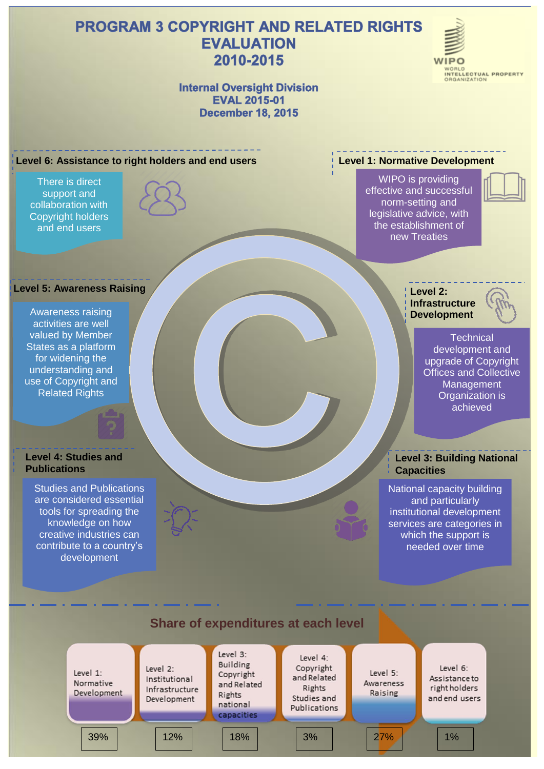# **PROGRAM 3 COPYRIGHT AND RELATED RIGHTS EVALUATION** 2010-2015



### **Internal Oversight Division EVAL 2015-01 December 18, 2015**

#### **Level 6: Assistance to right holders and end users**

There is direct support and collaboration with Copyright holders and end users



#### **Level 5: Awareness Raising**

Awareness raising activities are well valued by Member States as a platform for widening the understanding and use of Copyright and Related Rights

#### **Level 4: Studies and Publications**

Studies and Publications are considered essential tools for spreading the knowledge on how creative industries can contribute to a country's development

#### **Level 1: Normative Development**

WIPO is providing effective and successful norm-setting and legislative advice, with the establishment of new Treaties



**Level 2: Infrastructure Development**



**Technical** development and upgrade of Copyright Offices and Collective **Management** Organization is achieved

#### **Level 3: Building National Capacities**

National capacity building and particularly institutional development services are categories in which the support is needed over time

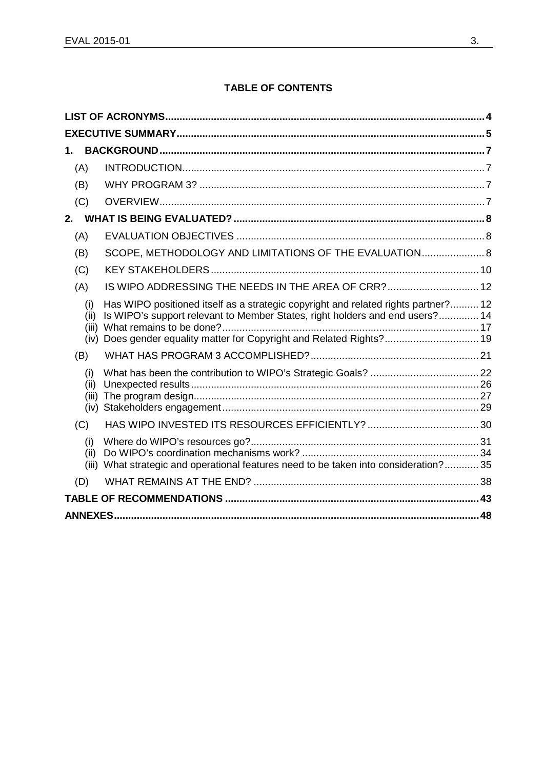### **TABLE OF CONTENTS**

| 1.                           |                                                                                                                                                                                                                                        |  |  |
|------------------------------|----------------------------------------------------------------------------------------------------------------------------------------------------------------------------------------------------------------------------------------|--|--|
| (A)                          |                                                                                                                                                                                                                                        |  |  |
| (B)                          |                                                                                                                                                                                                                                        |  |  |
| (C)                          |                                                                                                                                                                                                                                        |  |  |
|                              |                                                                                                                                                                                                                                        |  |  |
| (A)                          |                                                                                                                                                                                                                                        |  |  |
| (B)                          | SCOPE, METHODOLOGY AND LIMITATIONS OF THE EVALUATION 8                                                                                                                                                                                 |  |  |
| (C)                          |                                                                                                                                                                                                                                        |  |  |
| (A)                          | IS WIPO ADDRESSING THE NEEDS IN THE AREA OF CRR?  12                                                                                                                                                                                   |  |  |
| (i)<br>(ii)<br>(iii)<br>(iv) | Has WIPO positioned itself as a strategic copyright and related rights partner? 12<br>Is WIPO's support relevant to Member States, right holders and end users? 14<br>Does gender equality matter for Copyright and Related Rights? 19 |  |  |
| (B)                          |                                                                                                                                                                                                                                        |  |  |
| (i)<br>(ii)<br>(iii)         |                                                                                                                                                                                                                                        |  |  |
| (C)                          |                                                                                                                                                                                                                                        |  |  |
| (i)<br>(ii)                  | (iii) What strategic and operational features need to be taken into consideration? 35                                                                                                                                                  |  |  |
| (D)                          |                                                                                                                                                                                                                                        |  |  |
|                              |                                                                                                                                                                                                                                        |  |  |
|                              |                                                                                                                                                                                                                                        |  |  |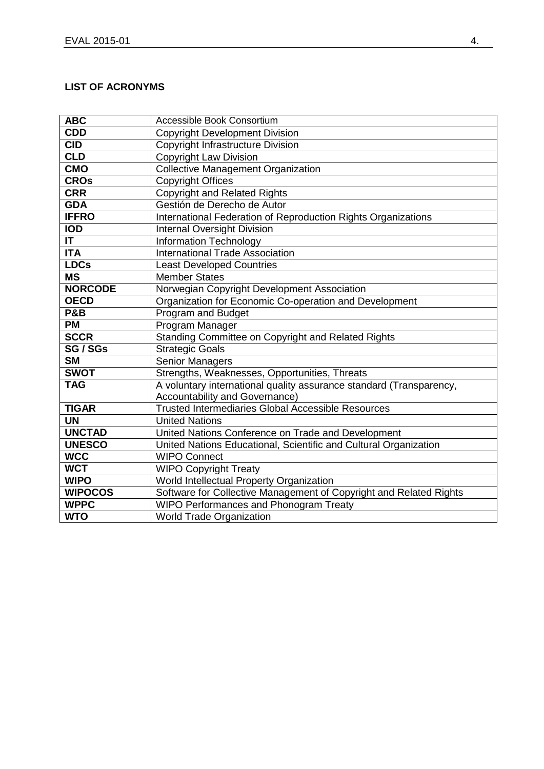## <span id="page-2-0"></span>**LIST OF ACRONYMS**

| <b>ABC</b>             | Accessible Book Consortium                                          |
|------------------------|---------------------------------------------------------------------|
| <b>CDD</b>             | <b>Copyright Development Division</b>                               |
| <b>CID</b>             | Copyright Infrastructure Division                                   |
| <b>CLD</b>             | <b>Copyright Law Division</b>                                       |
| <b>CMO</b>             | <b>Collective Management Organization</b>                           |
| <b>CROs</b>            | <b>Copyright Offices</b>                                            |
| <b>CRR</b>             | <b>Copyright and Related Rights</b>                                 |
| <b>GDA</b>             | Gestión de Derecho de Autor                                         |
| <b>IFFRO</b>           | International Federation of Reproduction Rights Organizations       |
| <b>IOD</b>             | <b>Internal Oversight Division</b>                                  |
| <b>IT</b>              | Information Technology                                              |
| <b>ITA</b>             | <b>International Trade Association</b>                              |
| <b>LDCs</b>            | <b>Least Developed Countries</b>                                    |
| $\overline{\text{MS}}$ | <b>Member States</b>                                                |
| <b>NORCODE</b>         | Norwegian Copyright Development Association                         |
| <b>OECD</b>            | Organization for Economic Co-operation and Development              |
| <b>P&amp;B</b>         | Program and Budget                                                  |
| <b>PM</b>              | Program Manager                                                     |
| <b>SCCR</b>            | Standing Committee on Copyright and Related Rights                  |
| SG / SGs               | <b>Strategic Goals</b>                                              |
| <b>SM</b>              | <b>Senior Managers</b>                                              |
| <b>SWOT</b>            | Strengths, Weaknesses, Opportunities, Threats                       |
| <b>TAG</b>             | A voluntary international quality assurance standard (Transparency, |
|                        | Accountability and Governance)                                      |
| <b>TIGAR</b>           | <b>Trusted Intermediaries Global Accessible Resources</b>           |
| <b>UN</b>              | <b>United Nations</b>                                               |
| <b>UNCTAD</b>          | United Nations Conference on Trade and Development                  |
| <b>UNESCO</b>          | United Nations Educational, Scientific and Cultural Organization    |
| <b>WCC</b>             | <b>WIPO Connect</b>                                                 |
| <b>WCT</b>             | <b>WIPO Copyright Treaty</b>                                        |
| <b>WIPO</b>            | World Intellectual Property Organization                            |
| <b>WIPOCOS</b>         | Software for Collective Management of Copyright and Related Rights  |
| <b>WPPC</b>            | <b>WIPO Performances and Phonogram Treaty</b>                       |
| <b>WTO</b>             | <b>World Trade Organization</b>                                     |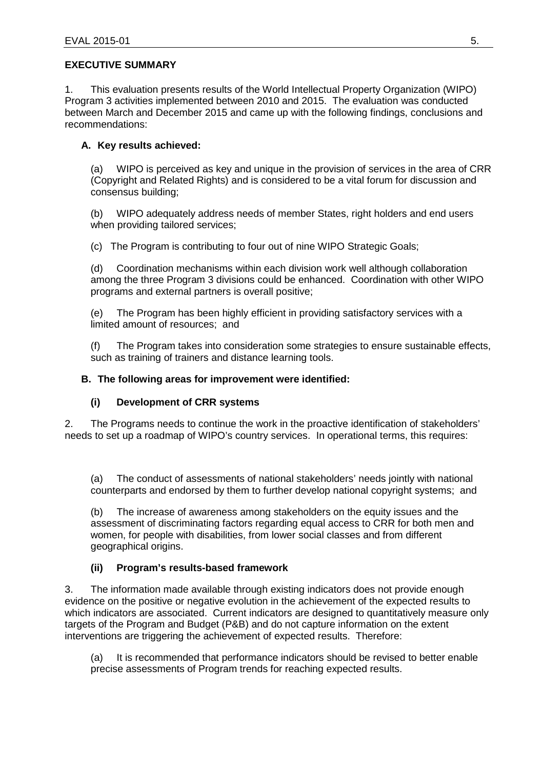### <span id="page-3-0"></span>**EXECUTIVE SUMMARY**

1. This evaluation presents results of the World Intellectual Property Organization (WIPO) Program 3 activities implemented between 2010 and 2015. The evaluation was conducted between March and December 2015 and came up with the following findings, conclusions and recommendations:

### **A. Key results achieved:**

(a) WIPO is perceived as key and unique in the provision of services in the area of CRR (Copyright and Related Rights) and is considered to be a vital forum for discussion and consensus building;

(b) WIPO adequately address needs of member States, right holders and end users when providing tailored services;

(c) The Program is contributing to four out of nine WIPO Strategic Goals;

(d) Coordination mechanisms within each division work well although collaboration among the three Program 3 divisions could be enhanced. Coordination with other WIPO programs and external partners is overall positive;

(e) The Program has been highly efficient in providing satisfactory services with a limited amount of resources; and

(f) The Program takes into consideration some strategies to ensure sustainable effects, such as training of trainers and distance learning tools.

#### **B. The following areas for improvement were identified:**

### **(i) Development of CRR systems**

2. The Programs needs to continue the work in the proactive identification of stakeholders' needs to set up a roadmap of WIPO's country services. In operational terms, this requires:

(a) The conduct of assessments of national stakeholders' needs jointly with national counterparts and endorsed by them to further develop national copyright systems; and

(b) The increase of awareness among stakeholders on the equity issues and the assessment of discriminating factors regarding equal access to CRR for both men and women, for people with disabilities, from lower social classes and from different geographical origins.

### **(ii) Program's results-based framework**

3. The information made available through existing indicators does not provide enough evidence on the positive or negative evolution in the achievement of the expected results to which indicators are associated. Current indicators are designed to quantitatively measure only targets of the Program and Budget (P&B) and do not capture information on the extent interventions are triggering the achievement of expected results. Therefore:

(a) It is recommended that performance indicators should be revised to better enable precise assessments of Program trends for reaching expected results.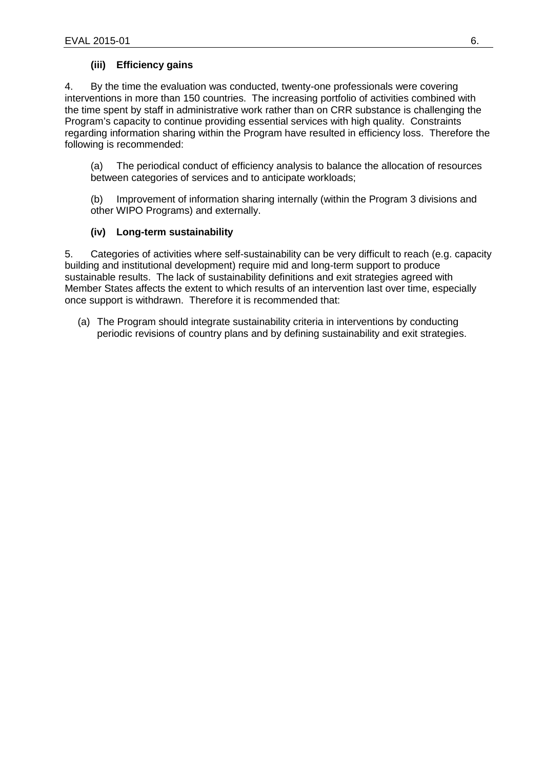### **(iii) Efficiency gains**

4. By the time the evaluation was conducted, twenty-one professionals were covering interventions in more than 150 countries. The increasing portfolio of activities combined with the time spent by staff in administrative work rather than on CRR substance is challenging the Program's capacity to continue providing essential services with high quality. Constraints regarding information sharing within the Program have resulted in efficiency loss. Therefore the following is recommended:

(a) The periodical conduct of efficiency analysis to balance the allocation of resources between categories of services and to anticipate workloads;

(b) Improvement of information sharing internally (within the Program 3 divisions and other WIPO Programs) and externally.

### **(iv) Long-term sustainability**

5. Categories of activities where self-sustainability can be very difficult to reach (e.g. capacity building and institutional development) require mid and long-term support to produce sustainable results. The lack of sustainability definitions and exit strategies agreed with Member States affects the extent to which results of an intervention last over time, especially once support is withdrawn. Therefore it is recommended that:

(a) The Program should integrate sustainability criteria in interventions by conducting periodic revisions of country plans and by defining sustainability and exit strategies.